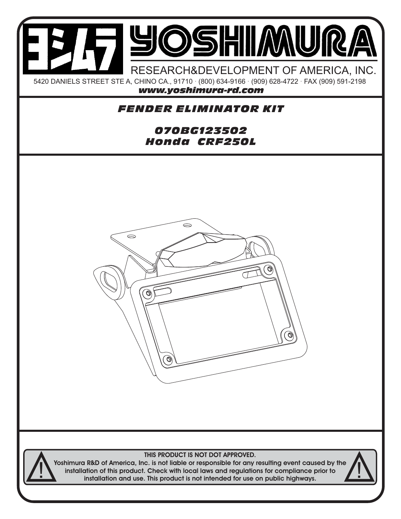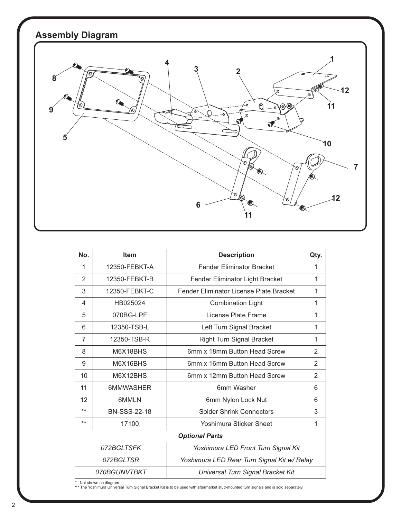## **Assembly Diagram**



| No.                                                      | <b>Item</b>         | <b>Description</b>                      | Qty.           |
|----------------------------------------------------------|---------------------|-----------------------------------------|----------------|
| 1                                                        | 12350-FEBKT-A       | <b>Fender Eliminator Bracket</b>        | 1              |
| 2                                                        | 12350-FEBKT-B       | Fender Eliminator Light Bracket         | 1              |
| 3                                                        | 12350-FEBKT-C       | Fender Eliminator License Plate Bracket | 1              |
| 4                                                        | HB025024            | <b>Combination Light</b>                | 1              |
| 5                                                        | 070BG-LPF           | License Plate Frame                     | 1              |
| 6                                                        | 12350-TSB-L         | Left Turn Signal Bracket                | 1              |
| $\overline{7}$                                           | 12350-TSB-R         | Right Turn Signal Bracket               | 1              |
| 8                                                        | M6X18BHS            | 6mm x 18mm Button Head Screw            | $\overline{2}$ |
| 9                                                        | M6X16BHS            | 6mm x 16mm Button Head Screw            | 2              |
| 10                                                       | M6X12BHS            | 6mm x 12mm Button Head Screw            | $\overline{2}$ |
| 11                                                       | 6MMWASHER           | 6mm Washer                              | 6              |
| 12                                                       | 6MMLN               | 6mm Nylon Lock Nut                      | 6              |
| $***$                                                    | <b>BN-SSS-22-18</b> | <b>Solder Shrink Connectors</b>         | 3              |
| $***$                                                    | 17100               | Yoshimura Sticker Sheet                 | 1              |
| <b>Optional Parts</b>                                    |                     |                                         |                |
| 072BGLTSFK<br>Yoshimura LED Front Turn Signal Kit        |                     |                                         |                |
| 072BGLTSR<br>Yoshimura LED Rear Turn Signal Kit w/ Relay |                     |                                         |                |
|                                                          | 070BGUNVTBKT        | Universal Turn Signal Bracket Kit       |                |

\*\* Not shown on diagram. \*\*\* The Yoshimura Universal Turn Signal Bracket Kit is to be used with aftermarket stud-mounted turn signals and is sold separately.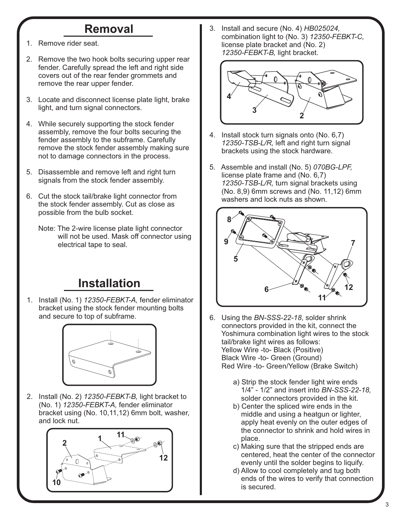## **Removal**

- 1. Remove rider seat.
- 2. Remove the two hook bolts securing upper rear fender. Carefully spread the left and right side covers out of the rear fender grommets and remove the rear upper fender.
- 3. Locate and disconnect license plate light, brake light, and turn signal connectors.
- 4. While securely supporting the stock fender assembly, remove the four bolts securing the fender assembly to the subframe. Carefully remove the stock fender assembly making sure not to damage connectors in the process.
- 5. Disassemble and remove left and right turn signals from the stock fender assembly.
- 6. Cut the stock tail/brake light connector from the stock fender assembly. Cut as close as possible from the bulb socket.
	- Note: The 2-wire license plate light connector will not be used. Mask off connector using electrical tape to seal.

## **Installation**

1. Install (No. 1) *12350-FEBKT-A,* fender eliminator bracket using the stock fender mounting bolts and secure to top of subframe.



2. Install (No. 2) *12350-FEBKT-B,* light bracket to (No. 1) *12350-FEBKT-A,* fender eliminator bracket using (No. 10,11,12) 6mm bolt, washer, and lock nut.



3. Install and secure (No. 4) *HB025024,* combination light to (No. 3) *12350-FEBKT-C,* license plate bracket and (No. 2)  *12350-FEBKT-B,* light bracket.



- 4. Install stock turn signals onto (No. 6,7)  *12350-TSB-L/R,* left and right turn signal brackets using the stock hardware.
- 5. Assemble and install (No. 5) *070BG-LPF,* license plate frame and (No. 6,7)  *12350-TSB-L/R,* turn signal brackets using (No. 8,9) 6mm screws and (No. 11,12) 6mm washers and lock nuts as shown.



- 6. Using the *BN-SSS-22-18*, solder shrink connectors provided in the kit, connect the Yoshimura combination light wires to the stock tail/brake light wires as follows: Yellow Wire -to- Black (Positive) Black Wire -to- Green (Ground) Red Wire -to- Green/Yellow (Brake Switch)
	- a) Strip the stock fender light wire ends 1/4" - 1/2" and insert into *BN-SSS-22-18,* solder connectors provided in the kit.
	- b) Center the spliced wire ends in the middle and using a heatgun or lighter, apply heat evenly on the outer edges of the connector to shrink and hold wires in place.
	- c) Making sure that the stripped ends are centered, heat the center of the connector evenly until the solder begins to liquify.
	- d) Allow to cool completely and tug both ends of the wires to verify that connection is secured.